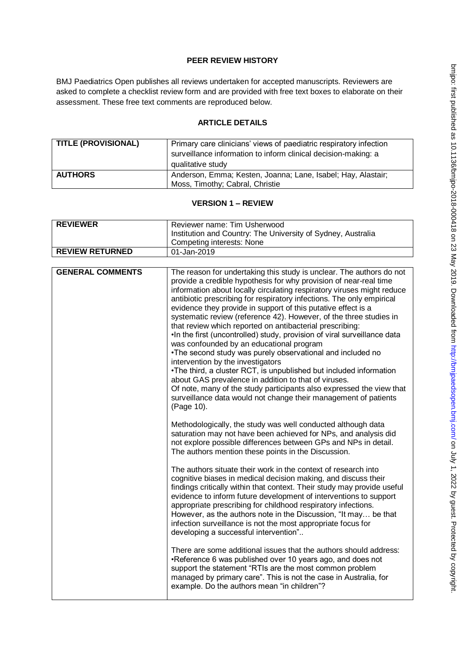## **PEER REVIEW HISTORY**

BMJ Paediatrics Open publishes all reviews undertaken for accepted manuscripts. Reviewers are asked to complete a checklist review form and are provided with free text boxes to elaborate on their assessment. These free text comments are reproduced below.

## **ARTICLE DETAILS**

| TITLE (PROVISIONAL) | Primary care clinicians' views of paediatric respiratory infection<br>surveillance information to inform clinical decision-making: a<br>qualitative study |
|---------------------|-----------------------------------------------------------------------------------------------------------------------------------------------------------|
| <b>AUTHORS</b>      | Anderson, Emma; Kesten, Joanna; Lane, Isabel; Hay, Alastair;<br>Moss, Timothy; Cabral, Christie                                                           |

## **VERSION 1 – REVIEW**

| <b>REVIEWER</b>        | Reviewer name: Tim Usherwood<br>Institution and Country: The University of Sydney, Australia<br><sup>1</sup> Competing interests: None |
|------------------------|----------------------------------------------------------------------------------------------------------------------------------------|
| <b>REVIEW RETURNED</b> | 01-Jan-2019                                                                                                                            |

| <b>GENERAL COMMENTS</b> | The reason for undertaking this study is unclear. The authors do not<br>provide a credible hypothesis for why provision of near-real time<br>information about locally circulating respiratory viruses might reduce<br>antibiotic prescribing for respiratory infections. The only empirical<br>evidence they provide in support of this putative effect is a<br>systematic review (reference 42). However, of the three studies in<br>that review which reported on antibacterial prescribing:<br>. In the first (uncontrolled) study, provision of viral surveillance data<br>was confounded by an educational program<br>. The second study was purely observational and included no<br>intervention by the investigators<br>. The third, a cluster RCT, is unpublished but included information<br>about GAS prevalence in addition to that of viruses.<br>Of note, many of the study participants also expressed the view that<br>surveillance data would not change their management of patients<br>(Page 10). |
|-------------------------|----------------------------------------------------------------------------------------------------------------------------------------------------------------------------------------------------------------------------------------------------------------------------------------------------------------------------------------------------------------------------------------------------------------------------------------------------------------------------------------------------------------------------------------------------------------------------------------------------------------------------------------------------------------------------------------------------------------------------------------------------------------------------------------------------------------------------------------------------------------------------------------------------------------------------------------------------------------------------------------------------------------------|
|                         | Methodologically, the study was well conducted although data<br>saturation may not have been achieved for NPs, and analysis did<br>not explore possible differences between GPs and NPs in detail.<br>The authors mention these points in the Discussion.                                                                                                                                                                                                                                                                                                                                                                                                                                                                                                                                                                                                                                                                                                                                                            |
|                         | The authors situate their work in the context of research into<br>cognitive biases in medical decision making, and discuss their<br>findings critically within that context. Their study may provide useful<br>evidence to inform future development of interventions to support<br>appropriate prescribing for childhood respiratory infections.<br>However, as the authors note in the Discussion, "It may be that<br>infection surveillance is not the most appropriate focus for<br>developing a successful intervention"                                                                                                                                                                                                                                                                                                                                                                                                                                                                                        |
|                         | There are some additional issues that the authors should address:<br>•Reference 6 was published over 10 years ago, and does not<br>support the statement "RTIs are the most common problem<br>managed by primary care". This is not the case in Australia, for<br>example. Do the authors mean "in children"?                                                                                                                                                                                                                                                                                                                                                                                                                                                                                                                                                                                                                                                                                                        |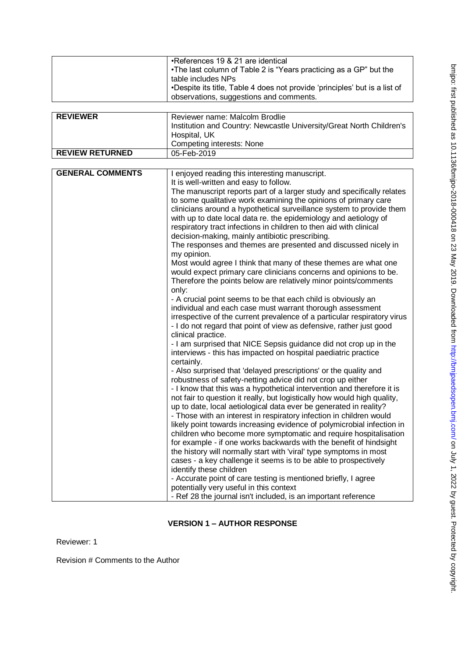|                         | •References 19 & 21 are identical                                          |
|-------------------------|----------------------------------------------------------------------------|
|                         | . The last column of Table 2 is "Years practicing as a GP" but the         |
|                         |                                                                            |
|                         | table includes NPs                                                         |
|                         | •Despite its title, Table 4 does not provide 'principles' but is a list of |
|                         | observations, suggestions and comments.                                    |
|                         |                                                                            |
| <b>REVIEWER</b>         | Reviewer name: Malcolm Brodlie                                             |
|                         | Institution and Country: Newcastle University/Great North Children's       |
|                         | Hospital, UK                                                               |
|                         | Competing interests: None                                                  |
|                         |                                                                            |
| <b>REVIEW RETURNED</b>  | 05-Feb-2019                                                                |
|                         |                                                                            |
| <b>GENERAL COMMENTS</b> | I enjoyed reading this interesting manuscript.                             |
|                         | It is well-written and easy to follow.                                     |
|                         | The manuscript reports part of a larger study and specifically relates     |
|                         | to some qualitative work examining the opinions of primary care            |
|                         | clinicians around a hypothetical surveillance system to provide them       |
|                         | with up to date local data re. the epidemiology and aetiology of           |
|                         | respiratory tract infections in children to then aid with clinical         |
|                         |                                                                            |
|                         | decision-making, mainly antibiotic prescribing.                            |
|                         | The responses and themes are presented and discussed nicely in             |
|                         | my opinion.                                                                |
|                         | Most would agree I think that many of these themes are what one            |
|                         | would expect primary care clinicians concerns and opinions to be.          |
|                         | Therefore the points below are relatively minor points/comments            |
|                         | only:                                                                      |
|                         | - A crucial point seems to be that each child is obviously an              |
|                         | individual and each case must warrant thorough assessment                  |
|                         | irrespective of the current prevalence of a particular respiratory virus   |
|                         | - I do not regard that point of view as defensive, rather just good        |
|                         |                                                                            |
|                         | clinical practice.                                                         |
|                         | - I am surprised that NICE Sepsis guidance did not crop up in the          |
|                         | interviews - this has impacted on hospital paediatric practice             |
|                         | certainly.                                                                 |
|                         | - Also surprised that 'delayed prescriptions' or the quality and           |
|                         | robustness of safety-netting advice did not crop up either                 |
|                         | - I know that this was a hypothetical intervention and therefore it is     |
|                         | not fair to question it really, but logistically how would high quality,   |
|                         | up to date, local aetiological data ever be generated in reality?          |
|                         | - Those with an interest in respiratory infection in children would        |
|                         | likely point towards increasing evidence of polymicrobial infection in     |
|                         |                                                                            |
|                         | children who become more symptomatic and require hospitalisation           |
|                         | for example - if one works backwards with the benefit of hindsight         |
|                         | the history will normally start with 'viral' type symptoms in most         |
|                         | cases - a key challenge it seems is to be able to prospectively            |
|                         | identify these children                                                    |
|                         | - Accurate point of care testing is mentioned briefly, I agree             |
|                         | potentially very useful in this context                                    |
|                         | - Ref 28 the journal isn't included, is an important reference             |

## **VERSION 1 – AUTHOR RESPONSE**

Reviewer: 1

Revision # Comments to the Author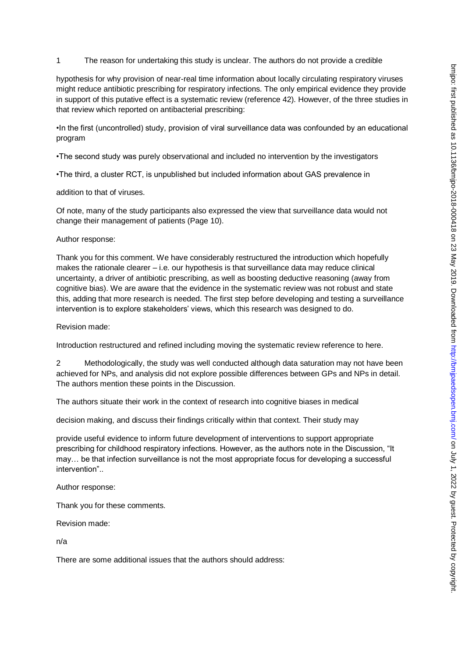### 1 The reason for undertaking this study is unclear. The authors do not provide a credible

hypothesis for why provision of near-real time information about locally circulating respiratory viruses might reduce antibiotic prescribing for respiratory infections. The only empirical evidence they provide in support of this putative effect is a systematic review (reference 42). However, of the three studies in that review which reported on antibacterial prescribing:

•In the first (uncontrolled) study, provision of viral surveillance data was confounded by an educational program

•The second study was purely observational and included no intervention by the investigators

•The third, a cluster RCT, is unpublished but included information about GAS prevalence in

addition to that of viruses.

Of note, many of the study participants also expressed the view that surveillance data would not change their management of patients (Page 10).

### Author response:

Thank you for this comment. We have considerably restructured the introduction which hopefully makes the rationale clearer  $-$  i.e. our hypothesis is that surveillance data may reduce clinical uncertainty, a driver of antibiotic prescribing, as well as boosting deductive reasoning (away from cognitive bias). We are aware that the evidence in the systematic review was not robust and state this, adding that more research is needed. The first step before developing and testing a surveillance intervention is to explore stakeholders' views, which this research was designed to do.

Revision made:

Introduction restructured and refined including moving the systematic review reference to here.

2 Methodologically, the study was well conducted although data saturation may not have been achieved for NPs, and analysis did not explore possible differences between GPs and NPs in detail. The authors mention these points in the Discussion.

The authors situate their work in the context of research into cognitive biases in medical

decision making, and discuss their findings critically within that context. Their study may

provide useful evidence to inform future development of interventions to support appropriate prescribing for childhood respiratory infections. However, as the authors note in the Discussion, "It may… be that infection surveillance is not the most appropriate focus for developing a successful intervention"..

Author response:

Thank you for these comments.

Revision made:

n/a

There are some additional issues that the authors should address: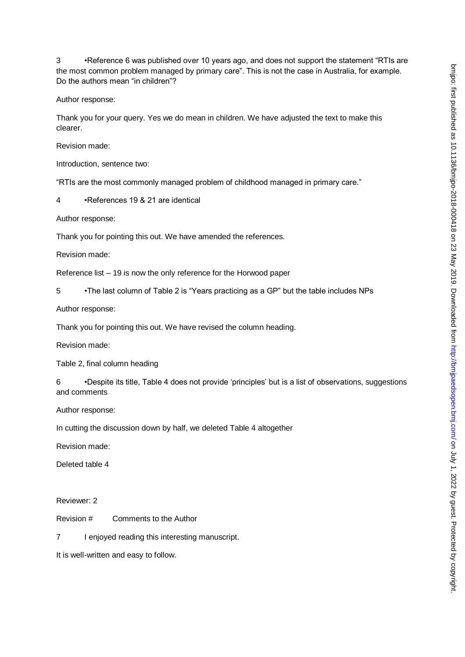3 •Reference 6 was published over 10 years ago, and does not support the statement "RTIs are the most common problem managed by primary care". This is not the case in Australia, for example. Do the authors mean "in children"?

Author response:

Thank you for your query. Yes we do mean in children. We have adjusted the text to make this clearer.

Revision made:

Introduction, sentence two:

"RTIs are the most commonly managed problem of childhood managed in primary care."

4 •References 19 & 21 are identical

Author response:

Thank you for pointing this out. We have amended the references.

Revision made:

Reference list – 19 is now the only reference for the Horwood paper

5 •The last column of Table 2 is "Years practicing as a GP" but the table includes NPs

Author response:

Thank you for pointing this out. We have revised the column heading.

Revision made:

Table 2, final column heading

6 •Despite its title, Table 4 does not provide 'principles' but is a list of observations, suggestions and comments

Author response:

In cutting the discussion down by half, we deleted Table 4 altogether

Revision made:

Deleted table 4

Reviewer: 2

Revision # Comments to the Author

7 I enjoyed reading this interesting manuscript.

It is well-written and easy to follow.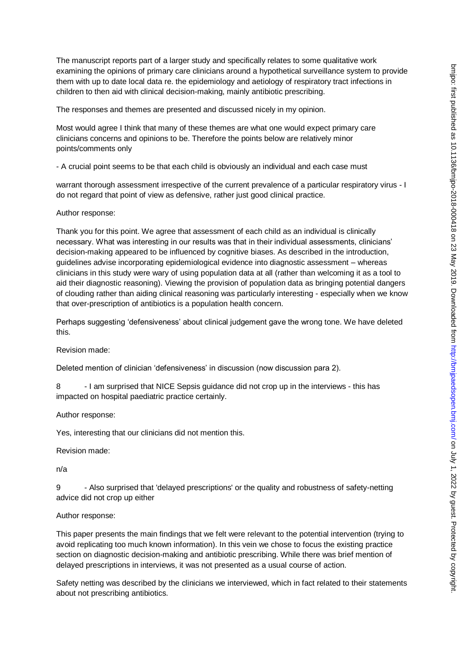The manuscript reports part of a larger study and specifically relates to some qualitative work examining the opinions of primary care clinicians around a hypothetical surveillance system to provide them with up to date local data re. the epidemiology and aetiology of respiratory tract infections in children to then aid with clinical decision-making, mainly antibiotic prescribing.

The responses and themes are presented and discussed nicely in my opinion.

Most would agree I think that many of these themes are what one would expect primary care clinicians concerns and opinions to be. Therefore the points below are relatively minor points/comments only

- A crucial point seems to be that each child is obviously an individual and each case must

warrant thorough assessment irrespective of the current prevalence of a particular respiratory virus - I do not regard that point of view as defensive, rather just good clinical practice.

#### Author response:

Thank you for this point. We agree that assessment of each child as an individual is clinically necessary. What was interesting in our results was that in their individual assessments, clinicians' decision-making appeared to be influenced by cognitive biases. As described in the introduction, guidelines advise incorporating epidemiological evidence into diagnostic assessment – whereas clinicians in this study were wary of using population data at all (rather than welcoming it as a tool to aid their diagnostic reasoning). Viewing the provision of population data as bringing potential dangers of clouding rather than aiding clinical reasoning was particularly interesting - especially when we know that over-prescription of antibiotics is a population health concern.

Perhaps suggesting 'defensiveness' about clinical judgement gave the wrong tone. We have deleted this.

Revision made:

Deleted mention of clinician 'defensiveness' in discussion (now discussion para 2).

8 - I am surprised that NICE Sepsis guidance did not crop up in the interviews - this has impacted on hospital paediatric practice certainly.

Author response:

Yes, interesting that our clinicians did not mention this.

Revision made:

n/a

9 - Also surprised that 'delayed prescriptions' or the quality and robustness of safety-netting advice did not crop up either

### Author response:

This paper presents the main findings that we felt were relevant to the potential intervention (trying to avoid replicating too much known information). In this vein we chose to focus the existing practice section on diagnostic decision-making and antibiotic prescribing. While there was brief mention of delayed prescriptions in interviews, it was not presented as a usual course of action.

Safety netting was described by the clinicians we interviewed, which in fact related to their statements about not prescribing antibiotics.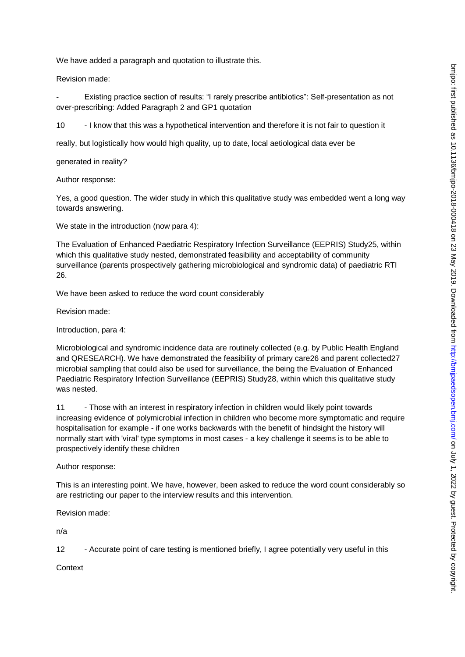We have added a paragraph and quotation to illustrate this.

Revision made:

Existing practice section of results: "I rarely prescribe antibiotics": Self-presentation as not over-prescribing: Added Paragraph 2 and GP1 quotation

10 - I know that this was a hypothetical intervention and therefore it is not fair to question it

really, but logistically how would high quality, up to date, local aetiological data ever be

generated in reality?

Author response:

Yes, a good question. The wider study in which this qualitative study was embedded went a long way towards answering.

We state in the introduction (now para 4):

The Evaluation of Enhanced Paediatric Respiratory Infection Surveillance (EEPRIS) Study25, within which this qualitative study nested, demonstrated feasibility and acceptability of community surveillance (parents prospectively gathering microbiological and syndromic data) of paediatric RTI 26.

We have been asked to reduce the word count considerably

Revision made:

Introduction, para 4:

Microbiological and syndromic incidence data are routinely collected (e.g. by Public Health England and QRESEARCH). We have demonstrated the feasibility of primary care26 and parent collected27 microbial sampling that could also be used for surveillance, the being the Evaluation of Enhanced Paediatric Respiratory Infection Surveillance (EEPRIS) Study28, within which this qualitative study was nested.

11 - Those with an interest in respiratory infection in children would likely point towards increasing evidence of polymicrobial infection in children who become more symptomatic and require hospitalisation for example - if one works backwards with the benefit of hindsight the history will normally start with 'viral' type symptoms in most cases - a key challenge it seems is to be able to prospectively identify these children

Author response:

This is an interesting point. We have, however, been asked to reduce the word count considerably so are restricting our paper to the interview results and this intervention.

Revision made:

n/a

12 - Accurate point of care testing is mentioned briefly, I agree potentially very useful in this

**Context**